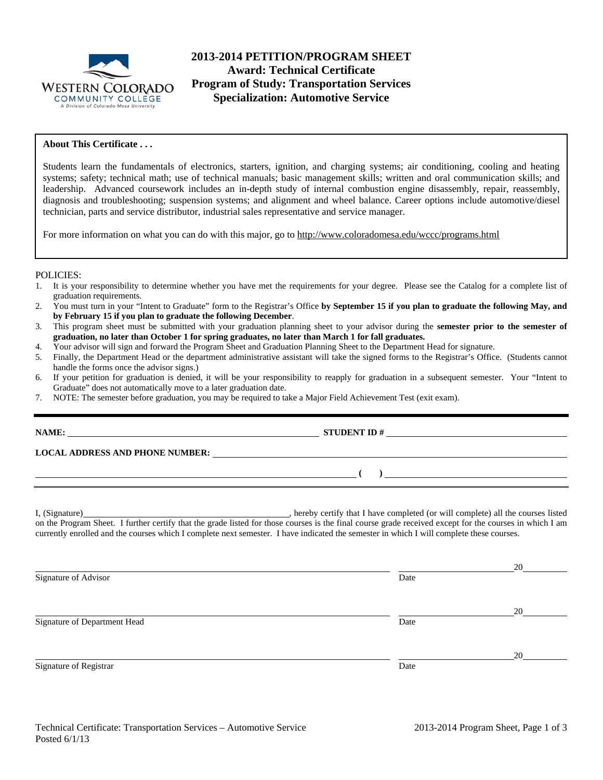

# **2013-2014 PETITION/PROGRAM SHEET Award: Technical Certificate Program of Study: Transportation Services Specialization: Automotive Service**

### **About This Certificate . . .**

Students learn the fundamentals of electronics, starters, ignition, and charging systems; air conditioning, cooling and heating systems; safety; technical math; use of technical manuals; basic management skills; written and oral communication skills; and leadership. Advanced coursework includes an in-depth study of internal combustion engine disassembly, repair, reassembly, diagnosis and troubleshooting; suspension systems; and alignment and wheel balance. Career options include automotive/diesel technician, parts and service distributor, industrial sales representative and service manager.

For more information on what you can do with this major, go to http://www.coloradomesa.edu/wccc/programs.html

#### POLICIES:

- 1. It is your responsibility to determine whether you have met the requirements for your degree. Please see the Catalog for a complete list of graduation requirements.
- 2. You must turn in your "Intent to Graduate" form to the Registrar's Office **by September 15 if you plan to graduate the following May, and by February 15 if you plan to graduate the following December**.
- 3. This program sheet must be submitted with your graduation planning sheet to your advisor during the **semester prior to the semester of graduation, no later than October 1 for spring graduates, no later than March 1 for fall graduates.**
- 4. Your advisor will sign and forward the Program Sheet and Graduation Planning Sheet to the Department Head for signature.
- 5. Finally, the Department Head or the department administrative assistant will take the signed forms to the Registrar's Office. (Students cannot handle the forms once the advisor signs.)
- 6. If your petition for graduation is denied, it will be your responsibility to reapply for graduation in a subsequent semester. Your "Intent to Graduate" does not automatically move to a later graduation date.
- 7. NOTE: The semester before graduation, you may be required to take a Major Field Achievement Test (exit exam).

| <u> 1999 - Johann Johann Stoff, deutscher Stoff, der Stoff, der Stoff, der Stoff, der Stoff, der Stoff, der Stoff</u>                                                                                                                                                                               | $\overline{a}$ |
|-----------------------------------------------------------------------------------------------------------------------------------------------------------------------------------------------------------------------------------------------------------------------------------------------------|----------------|
| on the Program Sheet. I further certify that the grade listed for those courses is the final course grade received except for the courses in which I am<br>currently enrolled and the courses which I complete next semester. I have indicated the semester in which I will complete these courses. |                |

|                              |      | 20 |
|------------------------------|------|----|
| Signature of Advisor         | Date |    |
|                              |      |    |
|                              |      | 20 |
| Signature of Department Head | Date |    |
|                              |      |    |
|                              |      | 20 |
| Signature of Registrar       | Date |    |
|                              |      |    |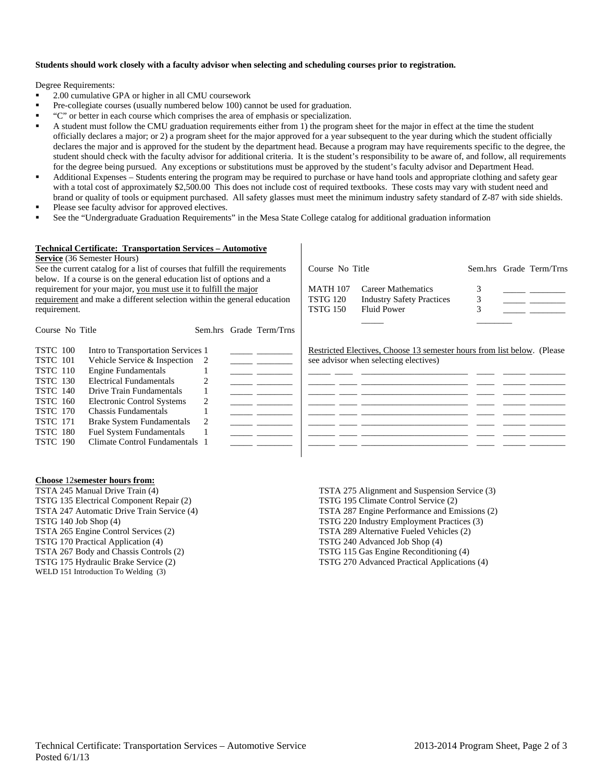## **Students should work closely with a faculty advisor when selecting and scheduling courses prior to registration.**

Degree Requirements:

- <sup>2</sup> 2.00 cumulative GPA or higher in all CMU coursework
- Pre-collegiate courses (usually numbered below 100) cannot be used for graduation.
- "C" or better in each course which comprises the area of emphasis or specialization.
- A student must follow the CMU graduation requirements either from 1) the program sheet for the major in effect at the time the student officially declares a major; or 2) a program sheet for the major approved for a year subsequent to the year during which the student officially declares the major and is approved for the student by the department head. Because a program may have requirements specific to the degree, the student should check with the faculty advisor for additional criteria. It is the student's responsibility to be aware of, and follow, all requirements for the degree being pursued. Any exceptions or substitutions must be approved by the student's faculty advisor and Department Head.
- Additional Expenses Students entering the program may be required to purchase or have hand tools and appropriate clothing and safety gear with a total cost of approximately \$2,500.00 This does not include cost of required textbooks. These costs may vary with student need and brand or quality of tools or equipment purchased. All safety glasses must meet the minimum industry safety standard of Z-87 with side shields.
- Please see faculty advisor for approved electives.
- See the "Undergraduate Graduation Requirements" in the Mesa State College catalog for additional graduation information

### **Technical Certificate: Transportation Services – Automotive**

#### **Service** (36 Semester Hours)

See the current catalog for a list of courses that fulfill the requirements below. If a course is on the general education list of options and a requirement for your major, you must use it to fulfill the major requirement and make a different selection within the general education requirement.

Course No Title Sem.hrs Grade Term/Trns MATH 107 Career Mathematics TSTG 120 Industry Safety Practices 3 \_\_\_\_\_ \_\_\_\_\_\_\_\_ TSTG 150 Fluid Power 3  $\frac{1}{2}$  ,  $\frac{1}{2}$  ,  $\frac{1}{2}$  ,  $\frac{1}{2}$  ,  $\frac{1}{2}$  ,  $\frac{1}{2}$  ,  $\frac{1}{2}$  ,  $\frac{1}{2}$  ,  $\frac{1}{2}$  ,  $\frac{1}{2}$  ,  $\frac{1}{2}$  ,  $\frac{1}{2}$  ,  $\frac{1}{2}$  ,  $\frac{1}{2}$  ,  $\frac{1}{2}$  ,  $\frac{1}{2}$  ,  $\frac{1}{2}$  ,  $\frac{1}{2}$  ,  $\frac{1$ 

| Course No Title                                                                                                                                                                     |                                                                                                                                                                                                                                                                                                                            |   | Sem.hrs Grade Term/Trns |                                                                                                                   |
|-------------------------------------------------------------------------------------------------------------------------------------------------------------------------------------|----------------------------------------------------------------------------------------------------------------------------------------------------------------------------------------------------------------------------------------------------------------------------------------------------------------------------|---|-------------------------|-------------------------------------------------------------------------------------------------------------------|
| TSTC 100<br><b>TSTC</b> 101<br><b>TSTC</b> 110<br><b>TSTC</b> 130<br><b>TSTC 140</b><br><b>TSTC</b> 160<br><b>TSTC</b> 170<br><b>TSTC</b> 171<br><b>TSTC 180</b><br><b>TSTC 190</b> | Intro to Transportation Services 1<br>Vehicle Service $&$ Inspection 2<br><b>Engine Fundamentals</b><br>Electrical Fundamentals<br>Drive Train Fundamentals<br>Electronic Control Systems<br>Chassis Fundamentals<br><b>Brake System Fundamentals</b><br><b>Fuel System Fundamentals</b><br>Climate Control Fundamentals 1 | 2 |                         | Restricted Electives, Choose 13 semester hours from list below. (Please)<br>see advisor when selecting electives) |
|                                                                                                                                                                                     |                                                                                                                                                                                                                                                                                                                            |   |                         |                                                                                                                   |

#### **Choose** 12**semester hours from:**

TSTA 245 Manual Drive Train (4) TSTG 135 Electrical Component Repair (2) TSTA 247 Automatic Drive Train Service (4) TSTG 140 Job Shop (4) TSTA 265 Engine Control Services (2) TSTG 170 Practical Application (4) TSTA 267 Body and Chassis Controls (2) TSTG 175 Hydraulic Brake Service (2) WELD 151 Introduction To Welding (3)

TSTA 275 Alignment and Suspension Service (3) TSTG 195 Climate Control Service (2) TSTA 287 Engine Performance and Emissions (2) TSTG 220 Industry Employment Practices (3) TSTA 289 Alternative Fueled Vehicles (2) TSTG 240 Advanced Job Shop (4) TSTG 115 Gas Engine Reconditioning (4) TSTG 270 Advanced Practical Applications (4)